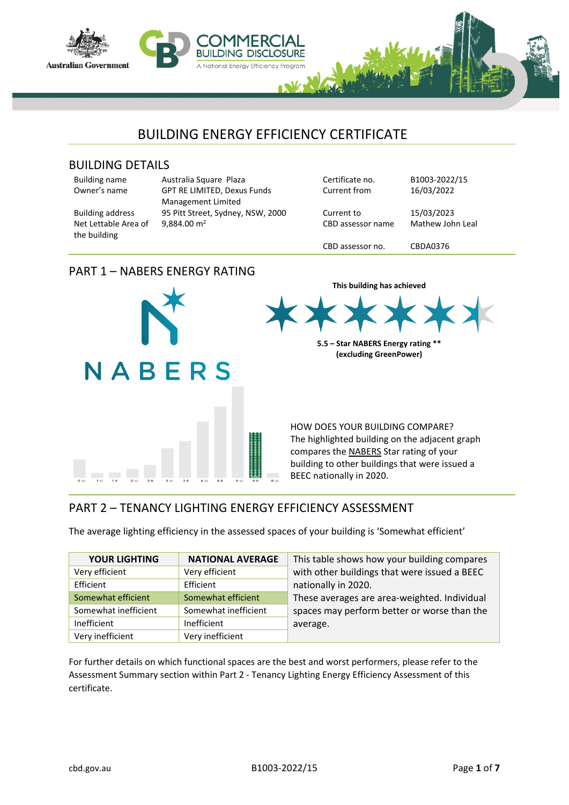

#### BUILDING DETAILS

Net Lettable Area of

| <b>Building name</b> |
|----------------------|
| Owner's name         |

the building

Building name Australia Square Plaza Certificate no. B1003-2022/15 GPT RE LIMITED, Dexus Funds Management Limited Building address 95 Pitt Street, Sydney, NSW, 2000 Current to 15/03/2023 9,884.00 m<sup>2</sup> CBD assessor name Mathew John Leal

Current from 16/03/2022

CBD assessor no. CBDA0376

**This building has achieved**

**5.5 – Star NABERS Energy rating \*\* (excluding GreenPower)**

## PART 1 – NABERS ENERGY RATING



HOW DOES YOUR BUILDING COMPARE? The highlighted building on the adjacent graph compares the NABERS Star rating of your building to other buildings that were issued a BEEC nationally in 2020.

## PART 2 – TENANCY LIGHTING ENERGY EFFICIENCY ASSESSMENT

The average lighting efficiency in the assessed spaces of your building is 'Somewhat efficient'

| <b>YOUR LIGHTING</b> | <b>NATIONAL AVERAGE</b> | This table shows how your building compares  |
|----------------------|-------------------------|----------------------------------------------|
| Very efficient       | Very efficient          | with other buildings that were issued a BEEC |
| Efficient            | Efficient               | nationally in 2020.                          |
| Somewhat efficient   | Somewhat efficient      | These averages are area-weighted. Individual |
| Somewhat inefficient | Somewhat inefficient    | spaces may perform better or worse than the  |
| Inefficient          | Inefficient             | average.                                     |
| Very inefficient     | Very inefficient        |                                              |

For further details on which functional spaces are the best and worst performers, please refer to the Assessment Summary section within Part 2 - Tenancy Lighting Energy Efficiency Assessment of this certificate.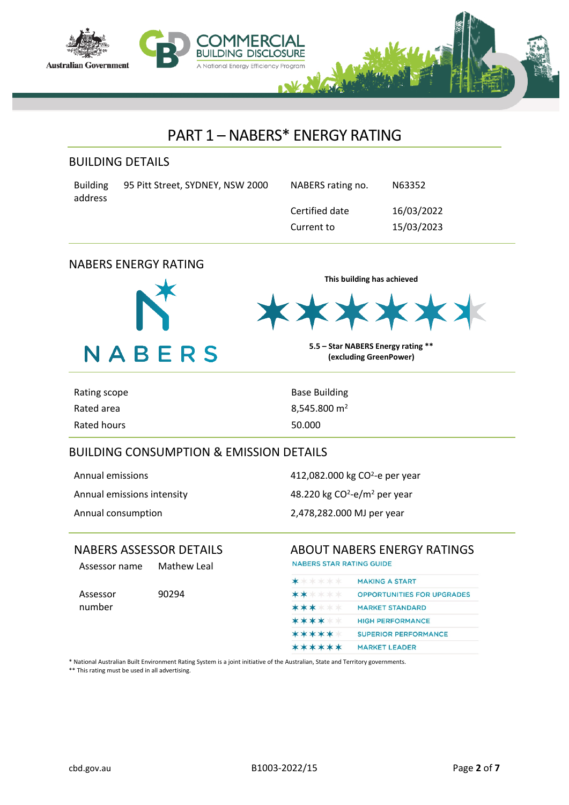

## PART 1 – NABERS\* ENERGY RATING

### BUILDING DETAILS

| Building | 95 Pitt Street, SYDNEY, NSW 2000 |
|----------|----------------------------------|
| address  |                                  |

NABERS rating no. N63352 Certified date 16/03/2022 Current to 15/03/2023

## NABERS ENERGY RATING



**This building has achieved**

**5.5 – Star NABERS Energy rating \*\* (excluding GreenPower)**

| Rating scope | <b>Base Building</b> |
|--------------|----------------------|
| Rated area   | 8,545.800 $m2$       |
| Rated hours  | 50.000               |

## BUILDING CONSUMPTION & EMISSION DETAILS

Annual emissions intensity

Annual emissions and the state of the 412,082.000 kg CO<sup>2</sup>-e per year -e/m<sup>2</sup> per year Annual consumption 2,478,282.000 MJ per year

Assessor name Mathew Leal

Assessor number

90294

## NABERS ASSESSOR DETAILS ABOUT NABERS ENERGY RATINGS

**NABERS STAR RATING GUIDE** 

|        | <b>MAKING A START</b>             |
|--------|-----------------------------------|
| ****** | <b>OPPORTUNITIES FOR UPGRADES</b> |
| ****** | <b>MARKET STANDARD</b>            |
| ****** | <b>HIGH PERFORMANCE</b>           |
| ****** | <b>SUPERIOR PERFORMANCE</b>       |
| ****** | <b>MARKET LEADER</b>              |
|        |                                   |

\* National Australian Built Environment Rating System is a joint initiative of the Australian, State and Territory governments.

\*\* This rating must be used in all advertising.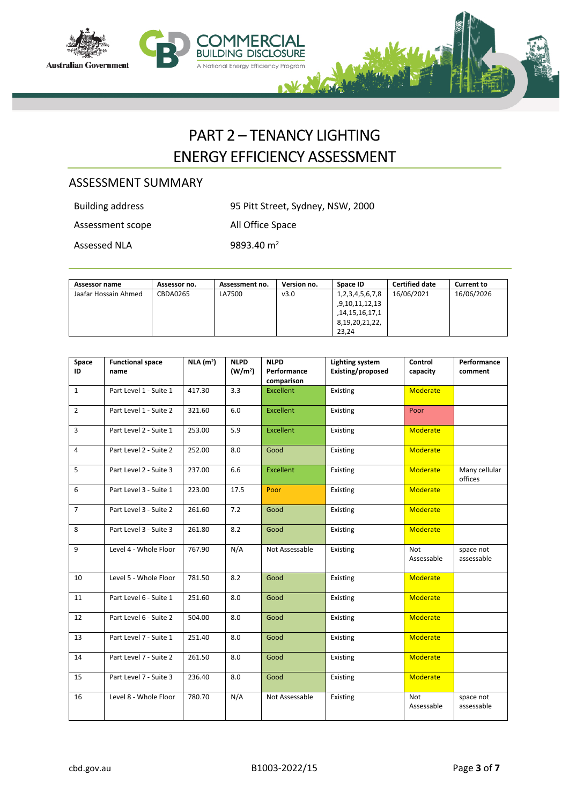

## PART 2 – TENANCY LIGHTING ENERGY EFFICIENCY ASSESSMENT

## ASSESSMENT SUMMARY

Building address 95 Pitt Street, Sydney, NSW, 2000

Assessment scope All Office Space

Assessed NLA 9893.40 m<sup>2</sup>

| Assessor name        | Assessor no. | Assessment no. | Version no. | Space ID        | <b>Certified date</b> | <b>Current to</b> |
|----------------------|--------------|----------------|-------------|-----------------|-----------------------|-------------------|
| Jaafar Hossain Ahmed | CBDA0265     | LA7500         | v3.0        | 1,2,3,4,5,6,7,8 | 16/06/2021            | 16/06/2026        |
|                      |              |                |             | ,9,10,11,12,13  |                       |                   |
|                      |              |                |             | ,14,15,16,17,1  |                       |                   |
|                      |              |                |             | 8,19,20,21,22,  |                       |                   |
|                      |              |                |             | 23.24           |                       |                   |

| Space<br>ID    | <b>Functional space</b><br>name | NLA (m <sup>2</sup> ) | <b>NLPD</b><br>(W/m <sup>2</sup> ) | <b>NLPD</b><br>Performance<br>comparison | <b>Lighting system</b><br>Existing/proposed | Control<br>capacity | Performance<br>comment   |
|----------------|---------------------------------|-----------------------|------------------------------------|------------------------------------------|---------------------------------------------|---------------------|--------------------------|
| $\mathbf{1}$   | Part Level 1 - Suite 1          | 417.30                | 3.3                                | <b>Excellent</b>                         | Existing                                    | <b>Moderate</b>     |                          |
| 2              | Part Level 1 - Suite 2          | 321.60                | 6.0                                | <b>Excellent</b>                         | <b>Existing</b>                             | Poor                |                          |
| 3              | Part Level 2 - Suite 1          | 253.00                | 5.9                                | <b>Excellent</b>                         | Existing                                    | <b>Moderate</b>     |                          |
| 4              | Part Level 2 - Suite 2          | 252.00                | 8.0                                | Good                                     | Existing                                    | <b>Moderate</b>     |                          |
| 5              | Part Level 2 - Suite 3          | 237.00                | 6.6                                | <b>Excellent</b>                         | Existing                                    | <b>Moderate</b>     | Many cellular<br>offices |
| 6              | Part Level 3 - Suite 1          | 223.00                | 17.5                               | Poor                                     | Existing                                    | <b>Moderate</b>     |                          |
| $\overline{7}$ | Part Level 3 - Suite 2          | 261.60                | 7.2                                | Good                                     | Existing                                    | <b>Moderate</b>     |                          |
| 8              | Part Level 3 - Suite 3          | 261.80                | 8.2                                | Good                                     | Existing                                    | <b>Moderate</b>     |                          |
| 9              | Level 4 - Whole Floor           | 767.90                | N/A                                | Not Assessable                           | Existing                                    | Not<br>Assessable   | space not<br>assessable  |
| 10             | Level 5 - Whole Floor           | 781.50                | 8.2                                | Good                                     | Existing                                    | <b>Moderate</b>     |                          |
| 11             | Part Level 6 - Suite 1          | 251.60                | 8.0                                | Good                                     | Existing                                    | <b>Moderate</b>     |                          |
| 12             | Part Level 6 - Suite 2          | 504.00                | 8.0                                | Good                                     | Existing                                    | <b>Moderate</b>     |                          |
| 13             | Part Level 7 - Suite 1          | 251.40                | 8.0                                | Good                                     | Existing                                    | <b>Moderate</b>     |                          |
| 14             | Part Level 7 - Suite 2          | 261.50                | 8.0                                | Good                                     | Existing                                    | <b>Moderate</b>     |                          |
| 15             | Part Level 7 - Suite 3          | 236.40                | 8.0                                | Good                                     | Existing                                    | <b>Moderate</b>     |                          |
| 16             | Level 8 - Whole Floor           | 780.70                | N/A                                | Not Assessable                           | Existing                                    | Not<br>Assessable   | space not<br>assessable  |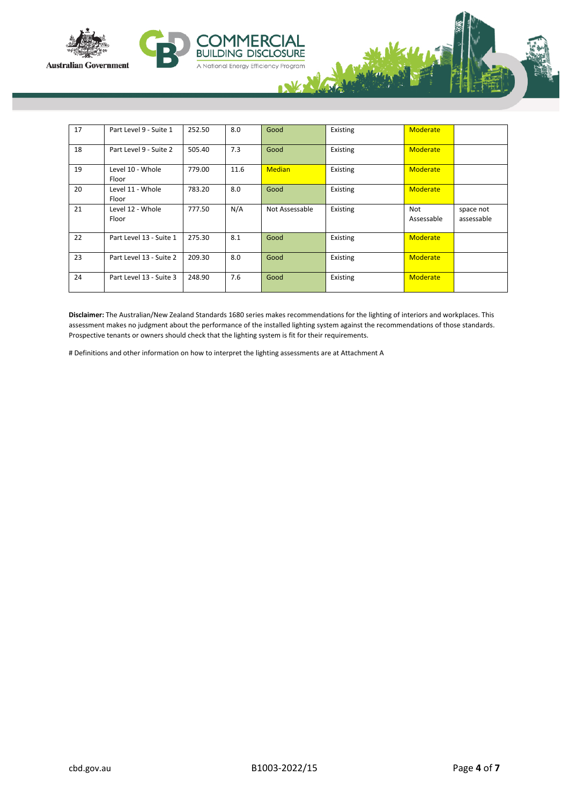



**BUIL** וח

| 17 | Part Level 9 - Suite 1    | 252.50 | 8.0  | Good           | Existing | Moderate          |                         |
|----|---------------------------|--------|------|----------------|----------|-------------------|-------------------------|
| 18 | Part Level 9 - Suite 2    | 505.40 | 7.3  | Good           | Existing | <b>Moderate</b>   |                         |
| 19 | Level 10 - Whole<br>Floor | 779.00 | 11.6 | <b>Median</b>  | Existing | <b>Moderate</b>   |                         |
| 20 | Level 11 - Whole<br>Floor | 783.20 | 8.0  | Good           | Existing | <b>Moderate</b>   |                         |
| 21 | Level 12 - Whole<br>Floor | 777.50 | N/A  | Not Assessable | Existing | Not<br>Assessable | space not<br>assessable |
| 22 | Part Level 13 - Suite 1   | 275.30 | 8.1  | Good           | Existing | <b>Moderate</b>   |                         |
| 23 | Part Level 13 - Suite 2   | 209.30 | 8.0  | Good           | Existing | <b>Moderate</b>   |                         |
| 24 | Part Level 13 - Suite 3   | 248.90 | 7.6  | Good           | Existing | <b>Moderate</b>   |                         |

**IG DISCLOSURE** 

A National Energy Efficiency Program

**Disclaimer:** The Australian/New Zealand Standards 1680 series makes recommendations for the lighting of interiors and workplaces. This assessment makes no judgment about the performance of the installed lighting system against the recommendations of those standards. Prospective tenants or owners should check that the lighting system is fit for their requirements.

# Definitions and other information on how to interpret the lighting assessments are at Attachment A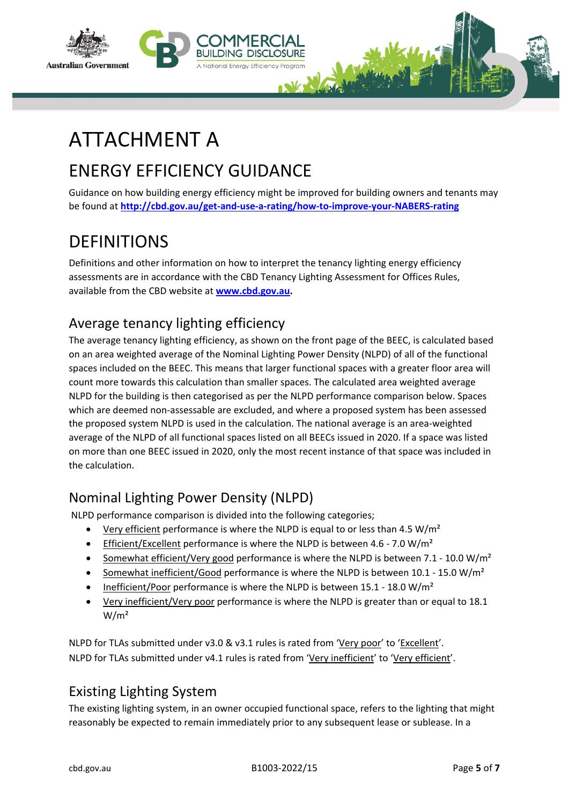



# ATTACHMENT A

## ENERGY EFFICIENCY GUIDANCE

Guidance on how building energy efficiency might be improved for building owners and tenants may be found at **<http://cbd.gov.au/get-and-use-a-rating/how-to-improve-your-NABERS-rating>**

## **DEFINITIONS**

Definitions and other information on how to interpret the tenancy lighting energy efficiency assessments are in accordance with the CBD Tenancy Lighting Assessment for Offices Rules, available from the CBD website at **[www.cbd.gov.au](http://www.cbd.gov.au/).**

## Average tenancy lighting efficiency

The average tenancy lighting efficiency, as shown on the front page of the BEEC, is calculated based on an area weighted average of the Nominal Lighting Power Density (NLPD) of all of the functional spaces included on the BEEC. This means that larger functional spaces with a greater floor area will count more towards this calculation than smaller spaces. The calculated area weighted average NLPD for the building is then categorised as per the NLPD performance comparison below. Spaces which are deemed non-assessable are excluded, and where a proposed system has been assessed the proposed system NLPD is used in the calculation. The national average is an area-weighted average of the NLPD of all functional spaces listed on all BEECs issued in 2020. If a space was listed on more than one BEEC issued in 2020, only the most recent instance of that space was included in the calculation.

## Nominal Lighting Power Density (NLPD)

NLPD performance comparison is divided into the following categories;

- Very efficient performance is where the NLPD is equal to or less than 4.5 W/m<sup>2</sup>
- **•** Efficient/Excellent performance is where the NLPD is between 4.6 7.0 W/m<sup>2</sup>
- Somewhat efficient/Very good performance is where the NLPD is between 7.1 10.0 W/m<sup>2</sup>
- Somewhat inefficient/Good performance is where the NLPD is between  $10.1 15.0 \text{ W/m}^2$
- Inefficient/Poor performance is where the NLPD is between  $15.1 18.0 \text{ W/m}^2$
- Very inefficient/Very poor performance is where the NLPD is greater than or equal to 18.1  $W/m<sup>2</sup>$

NLPD for TLAs submitted under v3.0 & v3.1 rules is rated from 'Very poor' to 'Excellent'. NLPD for TLAs submitted under v4.1 rules is rated from 'Very inefficient' to 'Very efficient'.

## Existing Lighting System

The existing lighting system, in an owner occupied functional space, refers to the lighting that might reasonably be expected to remain immediately prior to any subsequent lease or sublease. In a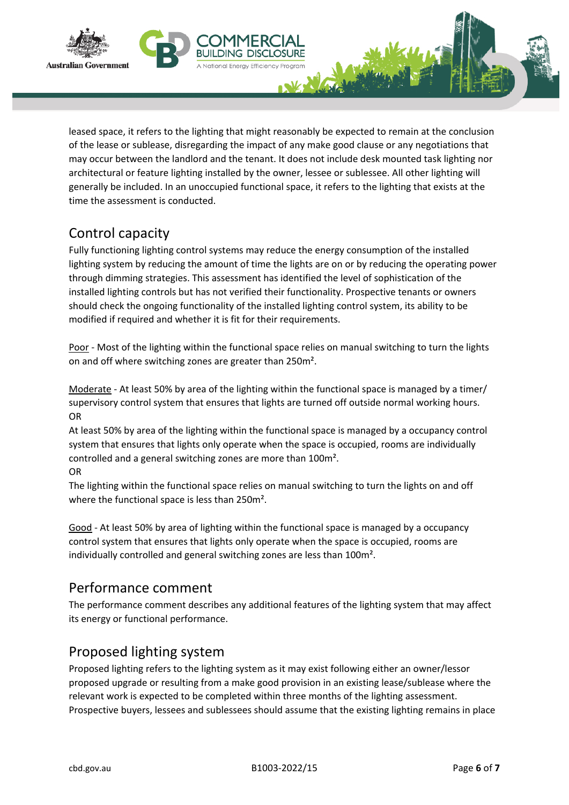



leased space, it refers to the lighting that might reasonably be expected to remain at the conclusion of the lease or sublease, disregarding the impact of any make good clause or any negotiations that may occur between the landlord and the tenant. It does not include desk mounted task lighting nor architectural or feature lighting installed by the owner, lessee or sublessee. All other lighting will generally be included. In an unoccupied functional space, it refers to the lighting that exists at the time the assessment is conducted.

## Control capacity

Fully functioning lighting control systems may reduce the energy consumption of the installed lighting system by reducing the amount of time the lights are on or by reducing the operating power through dimming strategies. This assessment has identified the level of sophistication of the installed lighting controls but has not verified their functionality. Prospective tenants or owners should check the ongoing functionality of the installed lighting control system, its ability to be modified if required and whether it is fit for their requirements.

Poor - Most of the lighting within the functional space relies on manual switching to turn the lights on and off where switching zones are greater than 250m².

Moderate - At least 50% by area of the lighting within the functional space is managed by a timer/ supervisory control system that ensures that lights are turned off outside normal working hours. OR

At least 50% by area of the lighting within the functional space is managed by a occupancy control system that ensures that lights only operate when the space is occupied, rooms are individually controlled and a general switching zones are more than 100m².

#### OR

The lighting within the functional space relies on manual switching to turn the lights on and off where the functional space is less than 250m².

Good - At least 50% by area of lighting within the functional space is managed by a occupancy control system that ensures that lights only operate when the space is occupied, rooms are individually controlled and general switching zones are less than 100m².

## Performance comment

The performance comment describes any additional features of the lighting system that may affect its energy or functional performance.

## Proposed lighting system

Proposed lighting refers to the lighting system as it may exist following either an owner/lessor proposed upgrade or resulting from a make good provision in an existing lease/sublease where the relevant work is expected to be completed within three months of the lighting assessment. Prospective buyers, lessees and sublessees should assume that the existing lighting remains in place